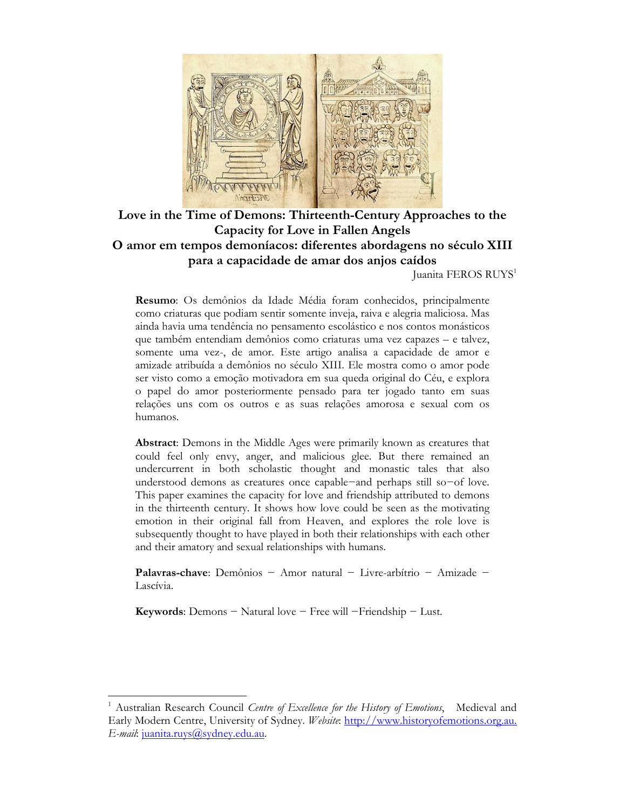

**Love in the Time of Demons: Thirteenth-Century Approaches to the Capacity for Love in Fallen Angels O amor em tempos demoníacos: diferentes abordagens no século XIII para a capacidade de amar dos anjos caídos** 

Juanita FEROS RUYS<sup>1</sup>

**Resumo**: Os demônios da Idade Média foram conhecidos, principalmente como criaturas que podiam sentir somente inveja, raiva e alegria maliciosa. Mas ainda havia uma tendência no pensamento escolástico e nos contos monásticos que também entendiam demônios como criaturas uma vez capazes – e talvez, somente uma vez-, de amor. Este artigo analisa a capacidade de amor e amizade atribuída a demônios no século XIII. Ele mostra como o amor pode ser visto como a emoção motivadora em sua queda original do Céu, e explora o papel do amor posteriormente pensado para ter jogado tanto em suas relações uns com os outros e as suas relações amorosa e sexual com os humanos.

**Abstract**: Demons in the Middle Ages were primarily known as creatures that could feel only envy, anger, and malicious glee. But there remained an undercurrent in both scholastic thought and monastic tales that also understood demons as creatures once capable−and perhaps still so−of love. This paper examines the capacity for love and friendship attributed to demons in the thirteenth century. It shows how love could be seen as the motivating emotion in their original fall from Heaven, and explores the role love is subsequently thought to have played in both their relationships with each other and their amatory and sexual relationships with humans.

**Palavras-chave**: Demônios − Amor natural − Livre-arbítrio − Amizade − Lascívia.

**Keywords**: Demons − Natural love − Free will −Friendship − Lust.

<sup>1</sup> Australian Research Council *Centre of Excellence for the History of Emotions*, Medieval and Early Modern Centre, University of Sydney. *Website*: http://www.historyofemotions.org.au. *E-mail*: juanita.ruys@sydney.edu.au.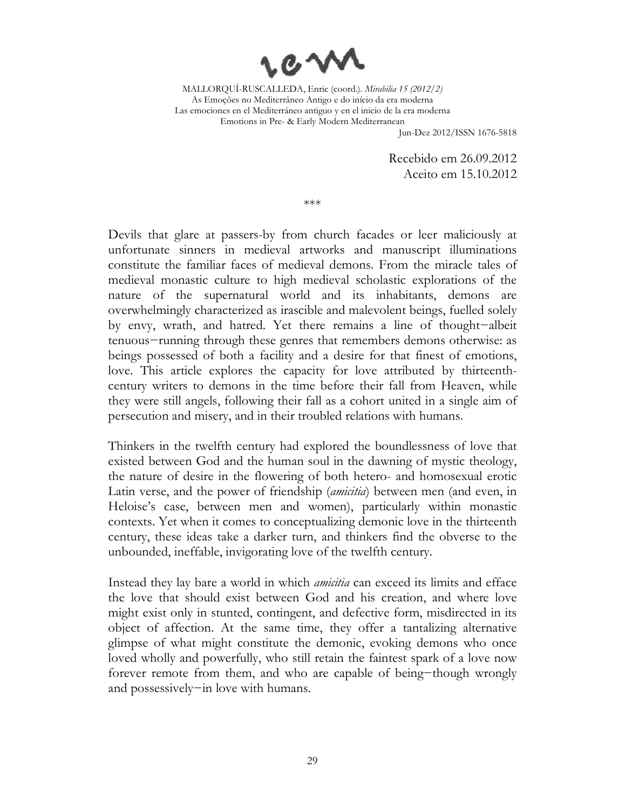

Jun-Dez 2012/ISSN 1676-5818

Recebido em 26.09.2012 Aceito em 15.10.2012

\*\*\*

Devils that glare at passers-by from church facades or leer maliciously at unfortunate sinners in medieval artworks and manuscript illuminations constitute the familiar faces of medieval demons. From the miracle tales of medieval monastic culture to high medieval scholastic explorations of the nature of the supernatural world and its inhabitants, demons are overwhelmingly characterized as irascible and malevolent beings, fuelled solely by envy, wrath, and hatred. Yet there remains a line of thought−albeit tenuous−running through these genres that remembers demons otherwise: as beings possessed of both a facility and a desire for that finest of emotions, love. This article explores the capacity for love attributed by thirteenthcentury writers to demons in the time before their fall from Heaven, while they were still angels, following their fall as a cohort united in a single aim of persecution and misery, and in their troubled relations with humans.

Thinkers in the twelfth century had explored the boundlessness of love that existed between God and the human soul in the dawning of mystic theology, the nature of desire in the flowering of both hetero- and homosexual erotic Latin verse, and the power of friendship (*amicitia*) between men (and even, in Heloise's case, between men and women), particularly within monastic contexts. Yet when it comes to conceptualizing demonic love in the thirteenth century, these ideas take a darker turn, and thinkers find the obverse to the unbounded, ineffable, invigorating love of the twelfth century.

Instead they lay bare a world in which *amicitia* can exceed its limits and efface the love that should exist between God and his creation, and where love might exist only in stunted, contingent, and defective form, misdirected in its object of affection. At the same time, they offer a tantalizing alternative glimpse of what might constitute the demonic, evoking demons who once loved wholly and powerfully, who still retain the faintest spark of a love now forever remote from them, and who are capable of being−though wrongly and possessively−in love with humans.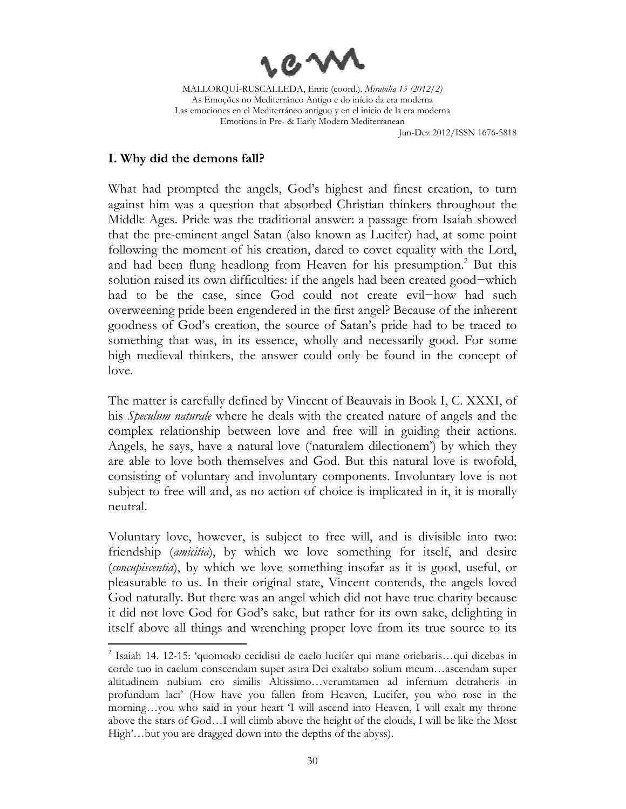

Jun-Dez 2012/ISSN 1676-5818

### **I. Why did the demons fall?**

l

What had prompted the angels, God's highest and finest creation, to turn against him was a question that absorbed Christian thinkers throughout the Middle Ages. Pride was the traditional answer: a passage from Isaiah showed that the pre-eminent angel Satan (also known as Lucifer) had, at some point following the moment of his creation, dared to covet equality with the Lord, and had been flung headlong from Heaven for his presumption.<sup>2</sup> But this solution raised its own difficulties: if the angels had been created good−which had to be the case, since God could not create evil−how had such overweening pride been engendered in the first angel? Because of the inherent goodness of God's creation, the source of Satan's pride had to be traced to something that was, in its essence, wholly and necessarily good. For some high medieval thinkers, the answer could only be found in the concept of love.

The matter is carefully defined by Vincent of Beauvais in Book I, C. XXXI, of his *Speculum naturale* where he deals with the created nature of angels and the complex relationship between love and free will in guiding their actions. Angels, he says, have a natural love ('naturalem dilectionem') by which they are able to love both themselves and God. But this natural love is twofold, consisting of voluntary and involuntary components. Involuntary love is not subject to free will and, as no action of choice is implicated in it, it is morally neutral.

Voluntary love, however, is subject to free will, and is divisible into two: friendship (*amicitia*), by which we love something for itself, and desire (*concupiscentia*), by which we love something insofar as it is good, useful, or pleasurable to us. In their original state, Vincent contends, the angels loved God naturally. But there was an angel which did not have true charity because it did not love God for God's sake, but rather for its own sake, delighting in itself above all things and wrenching proper love from its true source to its

<sup>2</sup> Isaiah 14. 12-15: 'quomodo cecidisti de caelo lucifer qui mane oriebaris…qui dicebas in corde tuo in caelum conscendam super astra Dei exaltabo solium meum…ascendam super altitudinem nubium ero similis Altissimo…verumtamen ad infernum detraheris in profundum laci' (How have you fallen from Heaven, Lucifer, you who rose in the morning…you who said in your heart 'I will ascend into Heaven, I will exalt my throne above the stars of God…I will climb above the height of the clouds, I will be like the Most High'...but you are dragged down into the depths of the abyss).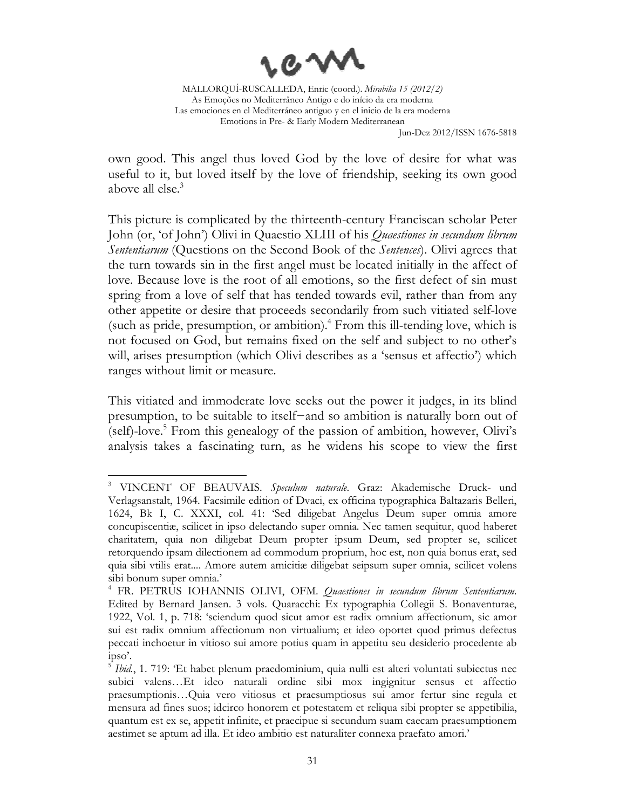

Jun-Dez 2012/ISSN 1676-5818

own good. This angel thus loved God by the love of desire for what was useful to it, but loved itself by the love of friendship, seeking its own good above all else.<sup>3</sup>

This picture is complicated by the thirteenth-century Franciscan scholar Peter John (or, 'of John') Olivi in Quaestio XLIII of his *Quaestiones in secundum librum Sententiarum* (Questions on the Second Book of the *Sentences*). Olivi agrees that the turn towards sin in the first angel must be located initially in the affect of love. Because love is the root of all emotions, so the first defect of sin must spring from a love of self that has tended towards evil, rather than from any other appetite or desire that proceeds secondarily from such vitiated self-love (such as pride, presumption, or ambition).<sup>4</sup> From this ill-tending love, which is not focused on God, but remains fixed on the self and subject to no other's will, arises presumption (which Olivi describes as a 'sensus et affectio') which ranges without limit or measure.

This vitiated and immoderate love seeks out the power it judges, in its blind presumption, to be suitable to itself−and so ambition is naturally born out of (self)-love.<sup>5</sup> From this genealogy of the passion of ambition, however, Olivi's analysis takes a fascinating turn, as he widens his scope to view the first

<sup>3</sup> VINCENT OF BEAUVAIS. *Speculum naturale*. Graz: Akademische Druck- und Verlagsanstalt, 1964. Facsimile edition of Dvaci, ex officina typographica Baltazaris Belleri, 1624, Bk I, C. XXXI, col. 41: 'Sed diligebat Angelus Deum super omnia amore concupiscentiæ, scilicet in ipso delectando super omnia. Nec tamen sequitur, quod haberet charitatem, quia non diligebat Deum propter ipsum Deum, sed propter se, scilicet retorquendo ipsam dilectionem ad commodum proprium, hoc est, non quia bonus erat, sed quia sibi vtilis erat.... Amore autem amicitiæ diligebat seipsum super omnia, scilicet volens sibi bonum super omnia.'

<sup>4</sup> FR. PETRUS IOHANNIS OLIVI, OFM. *Quaestiones in secundum librum Sententiarum*. Edited by Bernard Jansen. 3 vols. Quaracchi: Ex typographia Collegii S. Bonaventurae, 1922, Vol. 1, p. 718: 'sciendum quod sicut amor est radix omnium affectionum, sic amor sui est radix omnium affectionum non virtualium; et ideo oportet quod primus defectus peccati inchoetur in vitioso sui amore potius quam in appetitu seu desiderio procedente ab ipso'.

<sup>5</sup> *Ibid.*, 1. 719: 'Et habet plenum praedominium, quia nulli est alteri voluntati subiectus nec subici valens…Et ideo naturali ordine sibi mox ingignitur sensus et affectio praesumptionis…Quia vero vitiosus et praesumptiosus sui amor fertur sine regula et mensura ad fines suos; idcirco honorem et potestatem et reliqua sibi propter se appetibilia, quantum est ex se, appetit infinite, et praecipue si secundum suam caecam praesumptionem aestimet se aptum ad illa. Et ideo ambitio est naturaliter connexa praefato amori.'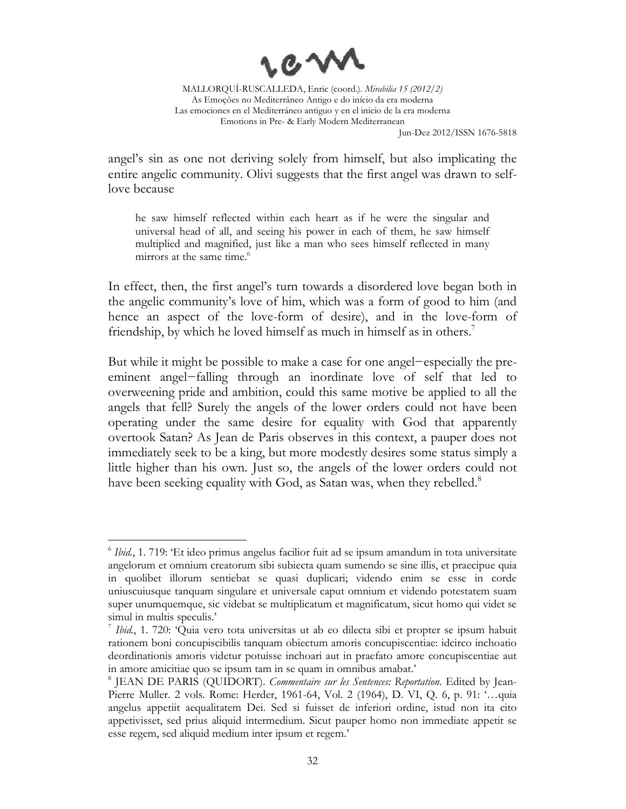

Jun-Dez 2012/ISSN 1676-5818

angel's sin as one not deriving solely from himself, but also implicating the entire angelic community. Olivi suggests that the first angel was drawn to selflove because

he saw himself reflected within each heart as if he were the singular and universal head of all, and seeing his power in each of them, he saw himself multiplied and magnified, just like a man who sees himself reflected in many mirrors at the same time.<sup>6</sup>

In effect, then, the first angel's turn towards a disordered love began both in the angelic community's love of him, which was a form of good to him (and hence an aspect of the love-form of desire), and in the love-form of friendship, by which he loved himself as much in himself as in others.<sup>7</sup>

But while it might be possible to make a case for one angel−especially the preeminent angel−falling through an inordinate love of self that led to overweening pride and ambition, could this same motive be applied to all the angels that fell? Surely the angels of the lower orders could not have been operating under the same desire for equality with God that apparently overtook Satan? As Jean de Paris observes in this context, a pauper does not immediately seek to be a king, but more modestly desires some status simply a little higher than his own. Just so, the angels of the lower orders could not have been seeking equality with God, as Satan was, when they rebelled.<sup>8</sup>

<sup>6</sup> *Ibid.*, 1. 719: 'Et ideo primus angelus facilior fuit ad se ipsum amandum in tota universitate angelorum et omnium creatorum sibi subiecta quam sumendo se sine illis, et praecipue quia in quolibet illorum sentiebat se quasi duplicari; videndo enim se esse in corde uniuscuiusque tanquam singulare et universale caput omnium et videndo potestatem suam super unumquemque, sic videbat se multiplicatum et magnificatum, sicut homo qui videt se simul in multis speculis.'

<sup>7</sup> *Ibid.*, 1. 720: 'Quia vero tota universitas ut ab eo dilecta sibi et propter se ipsum habuit rationem boni concupiscibilis tanquam obiectum amoris concupiscentiae: idcirco inchoatio deordinationis amoris videtur potuisse inchoari aut in praefato amore concupiscentiae aut in amore amicitiae quo se ipsum tam in se quam in omnibus amabat.'

<sup>8</sup> JEAN DE PARIS (QUIDORT). *Commentaire sur les Sentences: Reportation*. Edited by Jean-Pierre Muller. 2 vols. Rome: Herder, 1961-64, Vol. 2 (1964), D. VI, Q. 6, p. 91: '…quia angelus appetiit aequalitatem Dei. Sed si fuisset de inferiori ordine, istud non ita cito appetivisset, sed prius aliquid intermedium. Sicut pauper homo non immediate appetit se esse regem, sed aliquid medium inter ipsum et regem.'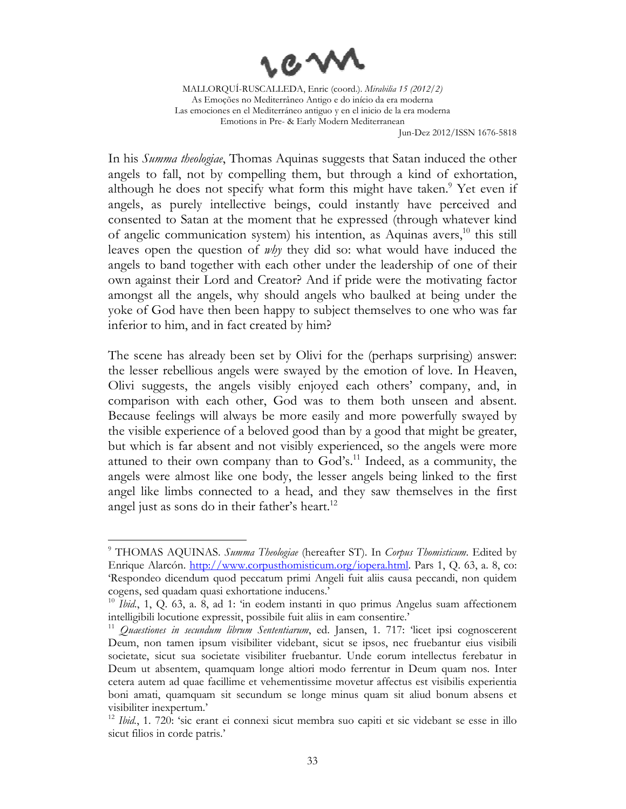

Jun-Dez 2012/ISSN 1676-5818

In his *Summa theologiae*, Thomas Aquinas suggests that Satan induced the other angels to fall, not by compelling them, but through a kind of exhortation, although he does not specify what form this might have taken.<sup>9</sup> Yet even if angels, as purely intellective beings, could instantly have perceived and consented to Satan at the moment that he expressed (through whatever kind of angelic communication system) his intention, as Aquinas avers,<sup>10</sup> this still leaves open the question of *why* they did so: what would have induced the angels to band together with each other under the leadership of one of their own against their Lord and Creator? And if pride were the motivating factor amongst all the angels, why should angels who baulked at being under the yoke of God have then been happy to subject themselves to one who was far inferior to him, and in fact created by him?

The scene has already been set by Olivi for the (perhaps surprising) answer: the lesser rebellious angels were swayed by the emotion of love. In Heaven, Olivi suggests, the angels visibly enjoyed each others' company, and, in comparison with each other, God was to them both unseen and absent. Because feelings will always be more easily and more powerfully swayed by the visible experience of a beloved good than by a good that might be greater, but which is far absent and not visibly experienced, so the angels were more attuned to their own company than to  $God's<sup>11</sup>$  Indeed, as a community, the angels were almost like one body, the lesser angels being linked to the first angel like limbs connected to a head, and they saw themselves in the first angel just as sons do in their father's heart.<sup>12</sup>

<sup>9</sup> THOMAS AQUINAS. *Summa Theologiae* (hereafter ST). In *Corpus Thomisticum*. Edited by Enrique Alarcón. http://www.corpusthomisticum.org/iopera.html. Pars 1, Q. 63, a. 8, co: 'Respondeo dicendum quod peccatum primi Angeli fuit aliis causa peccandi, non quidem cogens, sed quadam quasi exhortatione inducens.'

<sup>&</sup>lt;sup>10</sup> *Ibid.*, 1, Q. 63, a. 8, ad 1: 'in eodem instanti in quo primus Angelus suam affectionem intelligibili locutione expressit, possibile fuit aliis in eam consentire.'

<sup>&</sup>lt;sup>11</sup> Quaestiones in secundum librum Sententiarum, ed. Jansen, 1. 717: 'licet ipsi cognoscerent Deum, non tamen ipsum visibiliter videbant, sicut se ipsos, nec fruebantur eius visibili societate, sicut sua societate visibiliter fruebantur. Unde eorum intellectus ferebatur in Deum ut absentem, quamquam longe altiori modo ferrentur in Deum quam nos. Inter cetera autem ad quae facillime et vehementissime movetur affectus est visibilis experientia boni amati, quamquam sit secundum se longe minus quam sit aliud bonum absens et visibiliter inexpertum.'

<sup>12</sup> *Ibid.*, 1. 720: 'sic erant ei connexi sicut membra suo capiti et sic videbant se esse in illo sicut filios in corde patris.'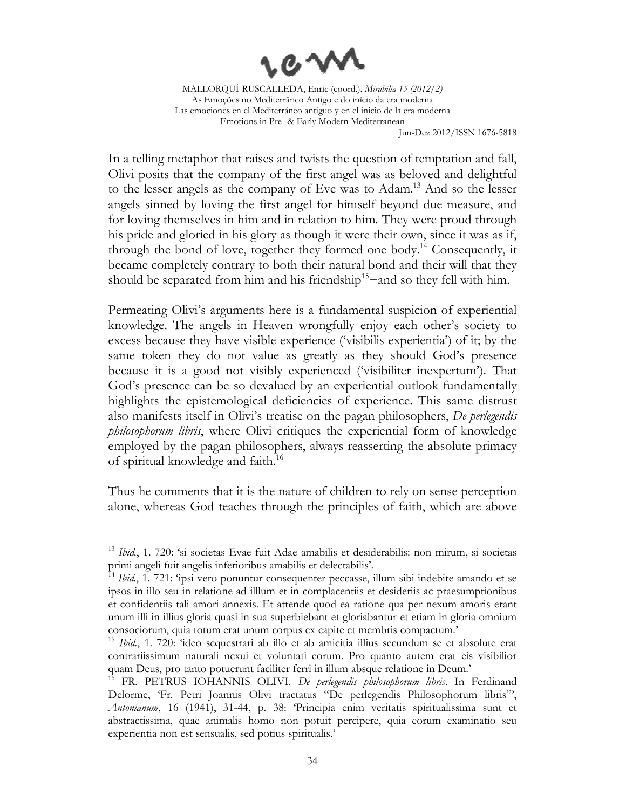

Jun-Dez 2012/ISSN 1676-5818

In a telling metaphor that raises and twists the question of temptation and fall, Olivi posits that the company of the first angel was as beloved and delightful to the lesser angels as the company of Eve was to Adam.<sup>13</sup> And so the lesser angels sinned by loving the first angel for himself beyond due measure, and for loving themselves in him and in relation to him. They were proud through his pride and gloried in his glory as though it were their own, since it was as if, through the bond of love, together they formed one body.<sup>14</sup> Consequently, it became completely contrary to both their natural bond and their will that they should be separated from him and his friendship<sup>15</sup>−and so they fell with him.

Permeating Olivi's arguments here is a fundamental suspicion of experiential knowledge. The angels in Heaven wrongfully enjoy each other's society to excess because they have visible experience ('visibilis experientia') of it; by the same token they do not value as greatly as they should God's presence because it is a good not visibly experienced ('visibiliter inexpertum'). That God's presence can be so devalued by an experiential outlook fundamentally highlights the epistemological deficiencies of experience. This same distrust also manifests itself in Olivi's treatise on the pagan philosophers, *De perlegendis philosophorum libris*, where Olivi critiques the experiential form of knowledge employed by the pagan philosophers, always reasserting the absolute primacy of spiritual knowledge and faith.<sup>16</sup>

Thus he comments that it is the nature of children to rely on sense perception alone, whereas God teaches through the principles of faith, which are above

<sup>13</sup> *Ibid.*, 1. 720: 'si societas Evae fuit Adae amabilis et desiderabilis: non mirum, si societas primi angeli fuit angelis inferioribus amabilis et delectabilis'.

<sup>&</sup>lt;sup>14</sup> *Ibid.*, 1. 721: 'ipsi vero ponuntur consequenter peccasse, illum sibi indebite amando et se ipsos in illo seu in relatione ad illlum et in complacentiis et desideriis ac praesumptionibus et confidentiis tali amori annexis. Et attende quod ea ratione qua per nexum amoris erant unum illi in illius gloria quasi in sua superbiebant et gloriabantur et etiam in gloria omnium consociorum, quia totum erat unum corpus ex capite et membris compactum.'

<sup>&</sup>lt;sup>15</sup> *Ibid.*, 1. 720: 'ideo sequestrari ab illo et ab amicitia illius secundum se et absolute erat contrariissimum naturali nexui et voluntati eorum. Pro quanto autem erat eis visibilior quam Deus, pro tanto potuerunt faciliter ferri in illum absque relatione in Deum.'

<sup>16</sup> FR. PETRUS IOHANNIS OLIVI. *De perlegendis philosophorum libris*. In Ferdinand Delorme, 'Fr. Petri Joannis Olivi tractatus "De perlegendis Philosophorum libris"', *Antonianum*, 16 (1941), 31-44, p. 38: 'Principia enim veritatis spiritualissima sunt et abstractissima, quae animalis homo non potuit percipere, quia eorum examinatio seu experientia non est sensualis, sed potius spiritualis.'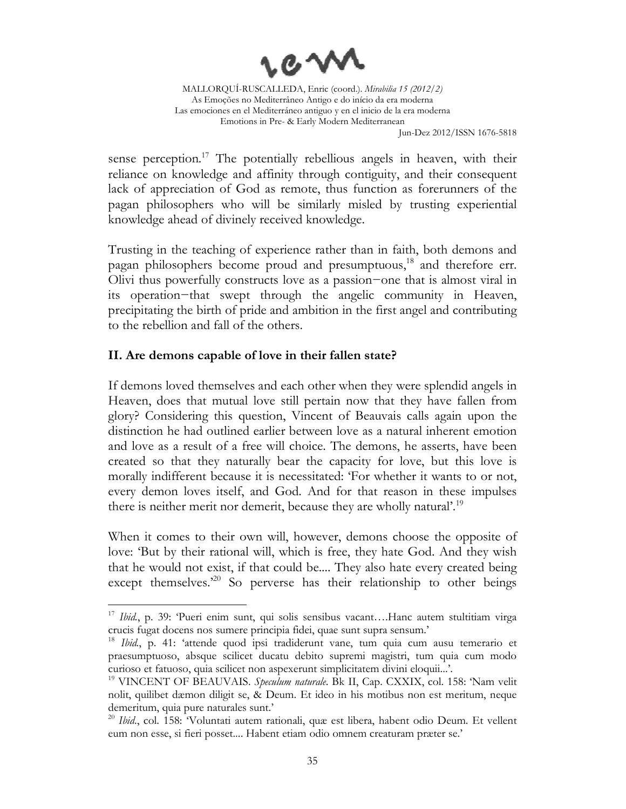

Jun-Dez 2012/ISSN 1676-5818

sense perception.<sup>17</sup> The potentially rebellious angels in heaven, with their reliance on knowledge and affinity through contiguity, and their consequent lack of appreciation of God as remote, thus function as forerunners of the pagan philosophers who will be similarly misled by trusting experiential knowledge ahead of divinely received knowledge.

Trusting in the teaching of experience rather than in faith, both demons and pagan philosophers become proud and presumptuous,<sup>18</sup> and therefore err. Olivi thus powerfully constructs love as a passion−one that is almost viral in its operation−that swept through the angelic community in Heaven, precipitating the birth of pride and ambition in the first angel and contributing to the rebellion and fall of the others.

# **II. Are demons capable of love in their fallen state?**

l

If demons loved themselves and each other when they were splendid angels in Heaven, does that mutual love still pertain now that they have fallen from glory? Considering this question, Vincent of Beauvais calls again upon the distinction he had outlined earlier between love as a natural inherent emotion and love as a result of a free will choice. The demons, he asserts, have been created so that they naturally bear the capacity for love, but this love is morally indifferent because it is necessitated: 'For whether it wants to or not, every demon loves itself, and God. And for that reason in these impulses there is neither merit nor demerit, because they are wholly natural'.<sup>19</sup>

When it comes to their own will, however, demons choose the opposite of love: 'But by their rational will, which is free, they hate God. And they wish that he would not exist, if that could be.... They also hate every created being except themselves.<sup>20</sup> So perverse has their relationship to other beings

<sup>17</sup> *Ibid.*, p. 39: 'Pueri enim sunt, qui solis sensibus vacant….Hanc autem stultitiam virga crucis fugat docens nos sumere principia fidei, quae sunt supra sensum.'

<sup>18</sup> *Ibid.*, p. 41: 'attende quod ipsi tradiderunt vane, tum quia cum ausu temerario et praesumptuoso, absque scilicet ducatu debito supremi magistri, tum quia cum modo curioso et fatuoso, quia scilicet non aspexerunt simplicitatem divini eloquii...'.

<sup>19</sup> VINCENT OF BEAUVAIS. *Speculum naturale*. Bk II, Cap. CXXIX, col. 158: 'Nam velit nolit, quilibet dæmon diligit se, & Deum. Et ideo in his motibus non est meritum, neque demeritum, quia pure naturales sunt.'

<sup>20</sup> *Ibid*., col. 158: 'Voluntati autem rationali, quæ est libera, habent odio Deum. Et vellent eum non esse, si fieri posset.... Habent etiam odio omnem creaturam præter se.'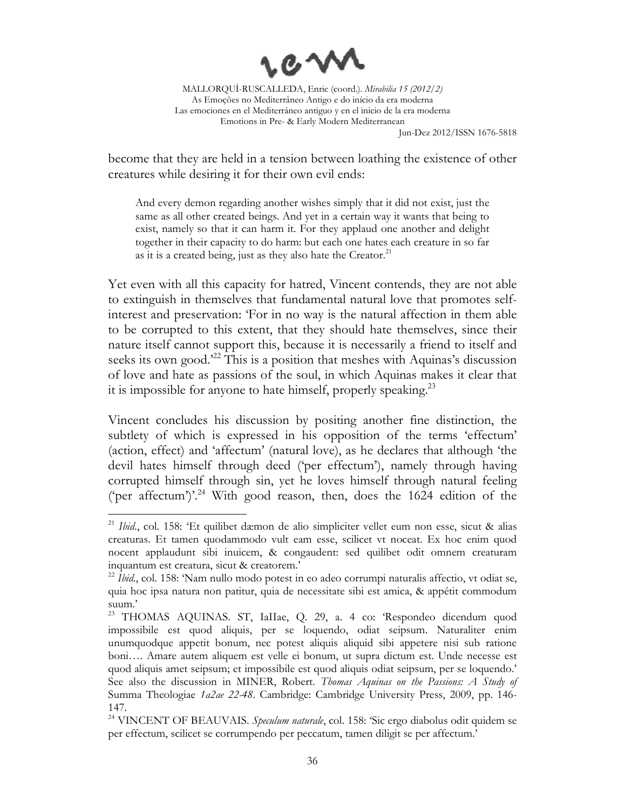

Jun-Dez 2012/ISSN 1676-5818

become that they are held in a tension between loathing the existence of other creatures while desiring it for their own evil ends:

And every demon regarding another wishes simply that it did not exist, just the same as all other created beings. And yet in a certain way it wants that being to exist, namely so that it can harm it. For they applaud one another and delight together in their capacity to do harm: but each one hates each creature in so far as it is a created being, just as they also hate the Creator. $21$ 

Yet even with all this capacity for hatred, Vincent contends, they are not able to extinguish in themselves that fundamental natural love that promotes selfinterest and preservation: 'For in no way is the natural affection in them able to be corrupted to this extent, that they should hate themselves, since their nature itself cannot support this, because it is necessarily a friend to itself and seeks its own good.<sup>22</sup> This is a position that meshes with Aquinas's discussion of love and hate as passions of the soul, in which Aquinas makes it clear that it is impossible for anyone to hate himself, properly speaking.<sup>23</sup>

Vincent concludes his discussion by positing another fine distinction, the subtlety of which is expressed in his opposition of the terms 'effectum' (action, effect) and 'affectum' (natural love), as he declares that although 'the devil hates himself through deed ('per effectum'), namely through having corrupted himself through sin, yet he loves himself through natural feeling ('per affectum')'.<sup>24</sup> With good reason, then, does the 1624 edition of the

<sup>21</sup> *Ibid*., col. 158: 'Et quilibet dæmon de alio simpliciter vellet eum non esse, sicut & alias creaturas. Et tamen quodammodo vult eam esse, scilicet vt noceat. Ex hoc enim quod nocent applaudunt sibi inuicem, & congaudent: sed quilibet odit omnem creaturam inquantum est creatura, sicut & creatorem.'

<sup>&</sup>lt;sup>22</sup> Ibid., col. 158: 'Nam nullo modo potest in eo adeo corrumpi naturalis affectio, vt odiat se, quia hoc ipsa natura non patitur, quia de necessitate sibi est amica, & appétit commodum suum.'

<sup>&</sup>lt;sup>23</sup> THOMAS AQUINAS. ST, IaIIae, Q. 29, a. 4 co: 'Respondeo dicendum quod impossibile est quod aliquis, per se loquendo, odiat seipsum. Naturaliter enim unumquodque appetit bonum, nec potest aliquis aliquid sibi appetere nisi sub ratione boni…. Amare autem aliquem est velle ei bonum, ut supra dictum est. Unde necesse est quod aliquis amet seipsum; et impossibile est quod aliquis odiat seipsum, per se loquendo.' See also the discussion in MINER, Robert. *Thomas Aquinas on the Passions: A Study of*  Summa Theologiae *1a2ae 22-48*. Cambridge: Cambridge University Press, 2009, pp. 146- 147.

<sup>&</sup>lt;sup>24</sup> VINCENT OF BEAUVAIS. *Speculum naturale*, col. 158: 'Sic ergo diabolus odit quidem se per effectum, scilicet se corrumpendo per peccatum, tamen diligit se per affectum.'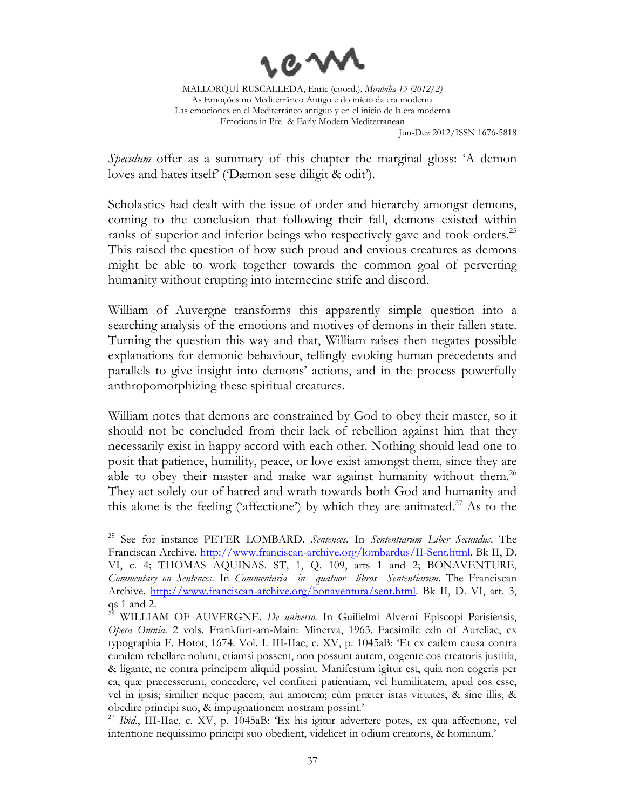

Jun-Dez 2012/ISSN 1676-5818

*Speculum* offer as a summary of this chapter the marginal gloss: 'A demon loves and hates itself' ('Dæmon sese diligit & odit').

Scholastics had dealt with the issue of order and hierarchy amongst demons, coming to the conclusion that following their fall, demons existed within ranks of superior and inferior beings who respectively gave and took orders.<sup>25</sup> This raised the question of how such proud and envious creatures as demons might be able to work together towards the common goal of perverting humanity without erupting into internecine strife and discord.

William of Auvergne transforms this apparently simple question into a searching analysis of the emotions and motives of demons in their fallen state. Turning the question this way and that, William raises then negates possible explanations for demonic behaviour, tellingly evoking human precedents and parallels to give insight into demons' actions, and in the process powerfully anthropomorphizing these spiritual creatures.

William notes that demons are constrained by God to obey their master, so it should not be concluded from their lack of rebellion against him that they necessarily exist in happy accord with each other. Nothing should lead one to posit that patience, humility, peace, or love exist amongst them, since they are able to obey their master and make war against humanity without them.<sup>26</sup> They act solely out of hatred and wrath towards both God and humanity and this alone is the feeling ('affectione') by which they are animated.<sup>27</sup> As to the

<sup>25</sup> See for instance PETER LOMBARD. *Sentences*. In *Sententiarum Liber Secundus*. The Franciscan Archive. http://www.franciscan-archive.org/lombardus/II-Sent.html. Bk II, D. VI, c. 4; THOMAS AQUINAS. ST, 1, Q. 109, arts 1 and 2; BONAVENTURE, *Commentary on Sentences*. In *Commentaria in quatuor libros Sententiarum*. The Franciscan Archive. http://www.franciscan-archive.org/bonaventura/sent.html. Bk II, D. VI, art. 3, qs 1 and 2.

<sup>26</sup> WILLIAM OF AUVERGNE. *De universo*. In Guilielmi Alverni Episcopi Parisiensis, *Opera Omnia*. 2 vols. Frankfurt-am-Main: Minerva, 1963. Facsimile edn of Aureliae, ex typographia F. Hotot, 1674. Vol. I. III-IIae, c. XV, p. 1045aB: 'Et ex eadem causa contra eundem rebellare nolunt, etiamsi possent, non possunt autem, cogente eos creatoris justitia, & ligante, ne contra principem aliquid possint. Manifestum igitur est, quia non cogeris per ea, quæ præcesserunt, concedere, vel confiteri patientiam, vel humilitatem, apud eos esse, vel in ipsis; similter neque pacem, aut amorem; cùm præter istas virtutes, & sine illis, & obedire principi suo, & impugnationem nostram possint.'

<sup>27</sup> *Ibid*., III-IIae, c. XV, p. 1045aB: 'Ex his igitur advertere potes, ex qua affectione, vel intentione nequissimo principi suo obedient, videlicet in odium creatoris, & hominum.'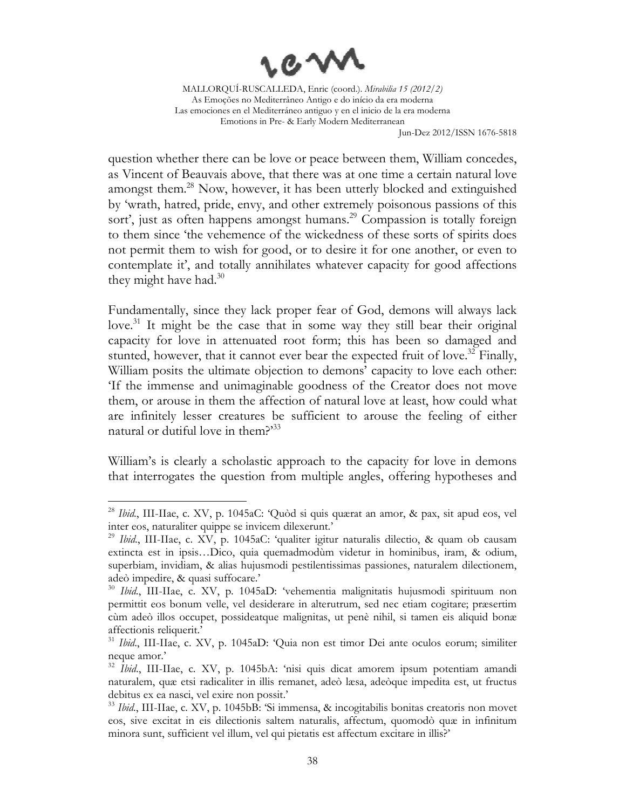

Jun-Dez 2012/ISSN 1676-5818

question whether there can be love or peace between them, William concedes, as Vincent of Beauvais above, that there was at one time a certain natural love amongst them.<sup>28</sup> Now, however, it has been utterly blocked and extinguished by 'wrath, hatred, pride, envy, and other extremely poisonous passions of this sort', just as often happens amongst humans.<sup>29</sup> Compassion is totally foreign to them since 'the vehemence of the wickedness of these sorts of spirits does not permit them to wish for good, or to desire it for one another, or even to contemplate it', and totally annihilates whatever capacity for good affections they might have had. $30$ 

Fundamentally, since they lack proper fear of God, demons will always lack love.<sup>31</sup> It might be the case that in some way they still bear their original capacity for love in attenuated root form; this has been so damaged and stunted, however, that it cannot ever bear the expected fruit of love.<sup>32</sup> Finally, William posits the ultimate objection to demons' capacity to love each other: 'If the immense and unimaginable goodness of the Creator does not move them, or arouse in them the affection of natural love at least, how could what are infinitely lesser creatures be sufficient to arouse the feeling of either natural or dutiful love in them?<sup>33</sup>

William's is clearly a scholastic approach to the capacity for love in demons that interrogates the question from multiple angles, offering hypotheses and

<sup>28</sup> *Ibid*., III-IIae, c. XV, p. 1045aC: 'Quòd si quis quærat an amor, & pax, sit apud eos, vel inter eos, naturaliter quippe se invicem dilexerunt.'

<sup>29</sup> *Ibid*., III-IIae, c. XV, p. 1045aC: 'qualiter igitur naturalis dilectio, & quam ob causam extincta est in ipsis…Dico, quia quemadmodùm videtur in hominibus, iram, & odium, superbiam, invidiam, & alias hujusmodi pestilentissimas passiones, naturalem dilectionem, adeò impedire, & quasi suffocare.'

<sup>30</sup> *Ibid*., III-IIae, c. XV, p. 1045aD: 'vehementia malignitatis hujusmodi spirituum non permittit eos bonum velle, vel desiderare in alterutrum, sed nec etiam cogitare; præsertim cùm adeò illos occupet, possideatque malignitas, ut penè nihil, si tamen eis aliquid bonæ affectionis reliquerit.'

<sup>31</sup> *Ibid*., III-IIae, c. XV, p. 1045aD: 'Quia non est timor Dei ante oculos eorum; similiter neque amor.'

<sup>32</sup> *Ibid*., III-IIae, c. XV, p. 1045bA: 'nisi quis dicat amorem ipsum potentiam amandi naturalem, quæ etsi radicaliter in illis remanet, adeò læsa, adeòque impedita est, ut fructus debitus ex ea nasci, vel exire non possit.'

<sup>33</sup> *Ibid*., III-IIae, c. XV, p. 1045bB: 'Si immensa, & incogitabilis bonitas creatoris non movet eos, sive excitat in eis dilectionis saltem naturalis, affectum, quomodò quæ in infinitum minora sunt, sufficient vel illum, vel qui pietatis est affectum excitare in illis?'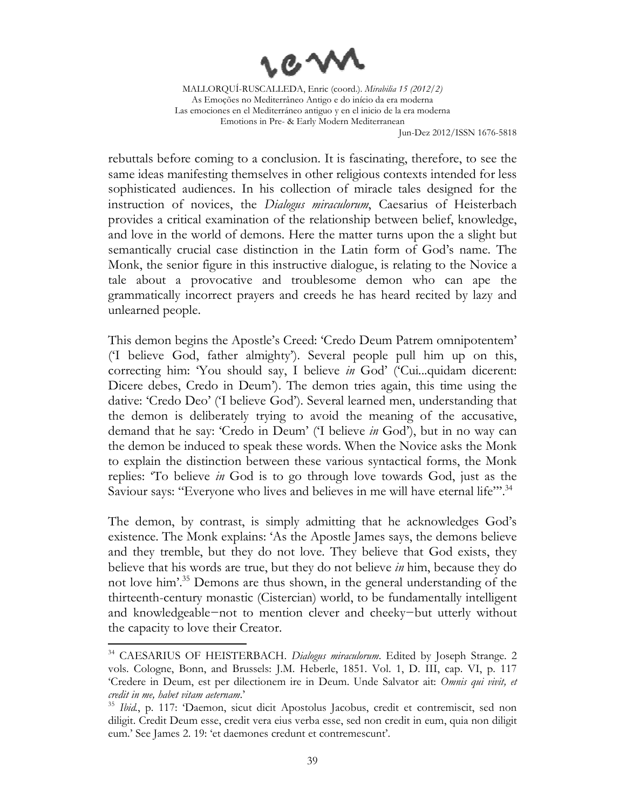

Jun-Dez 2012/ISSN 1676-5818

rebuttals before coming to a conclusion. It is fascinating, therefore, to see the same ideas manifesting themselves in other religious contexts intended for less sophisticated audiences. In his collection of miracle tales designed for the instruction of novices, the *Dialogus miraculorum*, Caesarius of Heisterbach provides a critical examination of the relationship between belief, knowledge, and love in the world of demons. Here the matter turns upon the a slight but semantically crucial case distinction in the Latin form of God's name. The Monk, the senior figure in this instructive dialogue, is relating to the Novice a tale about a provocative and troublesome demon who can ape the grammatically incorrect prayers and creeds he has heard recited by lazy and unlearned people.

This demon begins the Apostle's Creed: 'Credo Deum Patrem omnipotentem' ('I believe God, father almighty'). Several people pull him up on this, correcting him: 'You should say, I believe *in* God' ('Cui...quidam dicerent: Dicere debes, Credo in Deum'). The demon tries again, this time using the dative: 'Credo Deo' ('I believe God'). Several learned men, understanding that the demon is deliberately trying to avoid the meaning of the accusative, demand that he say: 'Credo in Deum' ('I believe *in* God'), but in no way can the demon be induced to speak these words. When the Novice asks the Monk to explain the distinction between these various syntactical forms, the Monk replies: 'To believe *in* God is to go through love towards God, just as the Saviour says: "Everyone who lives and believes in me will have eternal life"<sup>34</sup>

The demon, by contrast, is simply admitting that he acknowledges God's existence. The Monk explains: 'As the Apostle James says, the demons believe and they tremble, but they do not love. They believe that God exists, they believe that his words are true, but they do not believe *in* him, because they do not love him'.<sup>35</sup> Demons are thus shown, in the general understanding of the thirteenth-century monastic (Cistercian) world, to be fundamentally intelligent and knowledgeable−not to mention clever and cheeky−but utterly without the capacity to love their Creator.

<sup>34</sup> CAESARIUS OF HEISTERBACH. *Dialogus miraculorum*. Edited by Joseph Strange. 2 vols. Cologne, Bonn, and Brussels: J.M. Heberle, 1851. Vol. 1, D. III, cap. VI, p. 117 'Credere in Deum, est per dilectionem ire in Deum. Unde Salvator ait: *Omnis qui vivit, et credit in me, habet vitam aeternam*.'

<sup>35</sup> *Ibid.*, p. 117: 'Daemon, sicut dicit Apostolus Jacobus, credit et contremiscit, sed non diligit. Credit Deum esse, credit vera eius verba esse, sed non credit in eum, quia non diligit eum.' See James 2. 19: 'et daemones credunt et contremescunt'.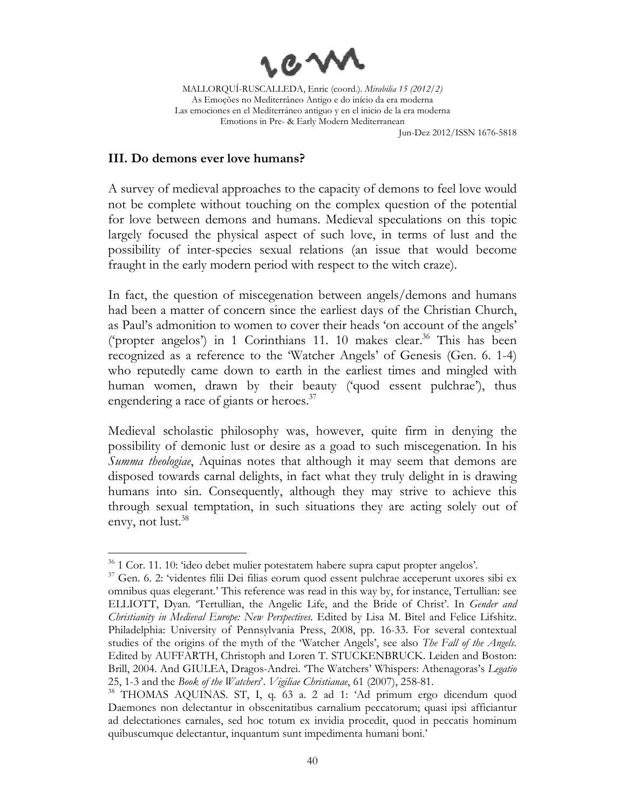

Jun-Dez 2012/ISSN 1676-5818

## **III. Do demons ever love humans?**

l

A survey of medieval approaches to the capacity of demons to feel love would not be complete without touching on the complex question of the potential for love between demons and humans. Medieval speculations on this topic largely focused the physical aspect of such love, in terms of lust and the possibility of inter-species sexual relations (an issue that would become fraught in the early modern period with respect to the witch craze).

In fact, the question of miscegenation between angels/demons and humans had been a matter of concern since the earliest days of the Christian Church, as Paul's admonition to women to cover their heads 'on account of the angels' ('propter angelos') in 1 Corinthians 11. 10 makes clear.<sup>36</sup> This has been recognized as a reference to the 'Watcher Angels' of Genesis (Gen. 6. 1-4) who reputedly came down to earth in the earliest times and mingled with human women, drawn by their beauty ('quod essent pulchrae'), thus engendering a race of giants or heroes.<sup>37</sup>

Medieval scholastic philosophy was, however, quite firm in denying the possibility of demonic lust or desire as a goad to such miscegenation. In his *Summa theologiae*, Aquinas notes that although it may seem that demons are disposed towards carnal delights, in fact what they truly delight in is drawing humans into sin. Consequently, although they may strive to achieve this through sexual temptation, in such situations they are acting solely out of envy, not lust.<sup>38</sup>

<sup>&</sup>lt;sup>36</sup> 1 Cor. 11. 10: 'ideo debet mulier potestatem habere supra caput propter angelos'.

 $37$  Gen. 6. 2: 'videntes filii Dei filias eorum quod essent pulchrae acceperunt uxores sibi ex omnibus quas elegerant.' This reference was read in this way by, for instance, Tertullian: see ELLIOTT, Dyan. 'Tertullian, the Angelic Life, and the Bride of Christ'. In *Gender and Christianity in Medieval Europe: New Perspectives*. Edited by Lisa M. Bitel and Felice Lifshitz. Philadelphia: University of Pennsylvania Press, 2008, pp. 16-33. For several contextual studies of the origins of the myth of the 'Watcher Angels', see also *The Fall of the Angels*. Edited by AUFFARTH, Christoph and Loren T. STUCKENBRUCK. Leiden and Boston: Brill, 2004. And GIULEA, Dragos-Andrei. 'The Watchers' Whispers: Athenagoras's *Legatio*  25, 1-3 and the *Book of the Watchers*'. *Vigiliae Christianae*, 61 (2007), 258-81.

<sup>&</sup>lt;sup>38</sup> THOMAS AQUINAS. ST, I, q. 63 a. 2 ad 1: 'Ad primum ergo dicendum quod Daemones non delectantur in obscenitatibus carnalium peccatorum; quasi ipsi afficiantur ad delectationes carnales, sed hoc totum ex invidia procedit, quod in peccatis hominum quibuscumque delectantur, inquantum sunt impedimenta humani boni.'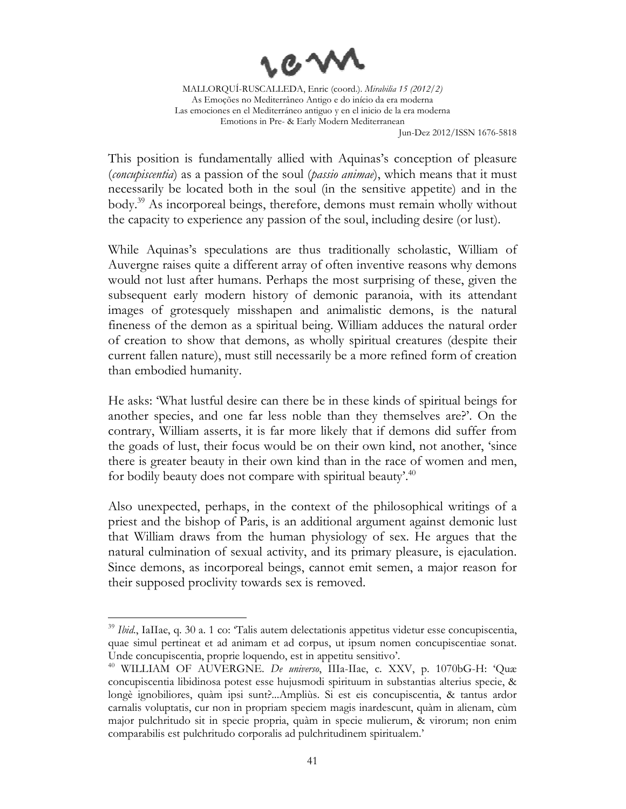

Jun-Dez 2012/ISSN 1676-5818

This position is fundamentally allied with Aquinas's conception of pleasure (*concupiscentia*) as a passion of the soul (*passio animae*), which means that it must necessarily be located both in the soul (in the sensitive appetite) and in the body.<sup>39</sup> As incorporeal beings, therefore, demons must remain wholly without the capacity to experience any passion of the soul, including desire (or lust).

While Aquinas's speculations are thus traditionally scholastic, William of Auvergne raises quite a different array of often inventive reasons why demons would not lust after humans. Perhaps the most surprising of these, given the subsequent early modern history of demonic paranoia, with its attendant images of grotesquely misshapen and animalistic demons, is the natural fineness of the demon as a spiritual being. William adduces the natural order of creation to show that demons, as wholly spiritual creatures (despite their current fallen nature), must still necessarily be a more refined form of creation than embodied humanity.

He asks: 'What lustful desire can there be in these kinds of spiritual beings for another species, and one far less noble than they themselves are?'. On the contrary, William asserts, it is far more likely that if demons did suffer from the goads of lust, their focus would be on their own kind, not another, 'since there is greater beauty in their own kind than in the race of women and men, for bodily beauty does not compare with spiritual beauty'.<sup>40</sup>

Also unexpected, perhaps, in the context of the philosophical writings of a priest and the bishop of Paris, is an additional argument against demonic lust that William draws from the human physiology of sex. He argues that the natural culmination of sexual activity, and its primary pleasure, is ejaculation. Since demons, as incorporeal beings, cannot emit semen, a major reason for their supposed proclivity towards sex is removed.

<sup>&</sup>lt;sup>39</sup> *Ibid.*, IaIIae, q. 30 a. 1 co: 'Talis autem delectationis appetitus videtur esse concupiscentia, quae simul pertineat et ad animam et ad corpus, ut ipsum nomen concupiscentiae sonat. Unde concupiscentia, proprie loquendo, est in appetitu sensitivo'.

<sup>40</sup> WILLIAM OF AUVERGNE. *De universo*, IIIa-IIae, c. XXV, p. 1070bG-H: 'Quæ concupiscentia libidinosa potest esse hujusmodi spirituum in substantias alterius specie, & longè ignobiliores, quàm ipsi sunt?...Ampliùs. Si est eis concupiscentia, & tantus ardor carnalis voluptatis, cur non in propriam speciem magis inardescunt, quàm in alienam, cùm major pulchritudo sit in specie propria, quàm in specie mulierum, & virorum; non enim comparabilis est pulchritudo corporalis ad pulchritudinem spiritualem.'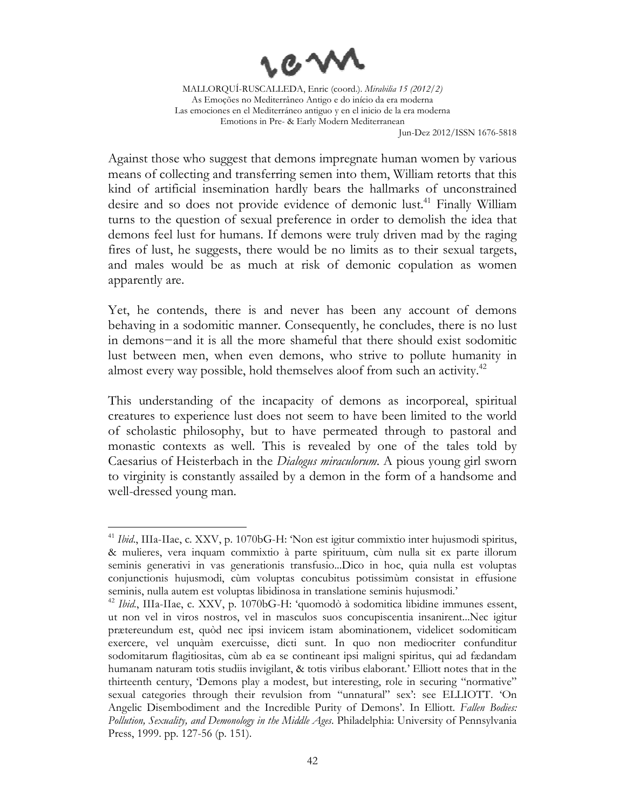

Jun-Dez 2012/ISSN 1676-5818

Against those who suggest that demons impregnate human women by various means of collecting and transferring semen into them, William retorts that this kind of artificial insemination hardly bears the hallmarks of unconstrained desire and so does not provide evidence of demonic lust.<sup>41</sup> Finally William turns to the question of sexual preference in order to demolish the idea that demons feel lust for humans. If demons were truly driven mad by the raging fires of lust, he suggests, there would be no limits as to their sexual targets, and males would be as much at risk of demonic copulation as women apparently are.

Yet, he contends, there is and never has been any account of demons behaving in a sodomitic manner. Consequently, he concludes, there is no lust in demons−and it is all the more shameful that there should exist sodomitic lust between men, when even demons, who strive to pollute humanity in almost every way possible, hold themselves aloof from such an activity.<sup>42</sup>

This understanding of the incapacity of demons as incorporeal, spiritual creatures to experience lust does not seem to have been limited to the world of scholastic philosophy, but to have permeated through to pastoral and monastic contexts as well. This is revealed by one of the tales told by Caesarius of Heisterbach in the *Dialogus miraculorum*. A pious young girl sworn to virginity is constantly assailed by a demon in the form of a handsome and well-dressed young man.

<sup>&</sup>lt;sup>41</sup> *Ibid.*, IIIa-IIae, c. XXV, p. 1070bG-H: 'Non est igitur commixtio inter hujusmodi spiritus, & mulieres, vera inquam commixtio à parte spirituum, cùm nulla sit ex parte illorum seminis generativi in vas generationis transfusio...Dico in hoc, quia nulla est voluptas conjunctionis hujusmodi, cùm voluptas concubitus potissimùm consistat in effusione seminis, nulla autem est voluptas libidinosa in translatione seminis hujusmodi.'

<sup>42</sup> *Ibid*., IIIa-IIae, c. XXV, p. 1070bG-H: 'quomodò à sodomitica libidine immunes essent, ut non vel in viros nostros, vel in masculos suos concupiscentia insanirent...Nec igitur prætereundum est, quòd nec ipsi invicem istam abominationem, videlicet sodomiticam exercere, vel unquàm exercuisse, dicti sunt. In quo non mediocriter confunditur sodomitarum flagitiositas, cùm ab ea se contineant ipsi maligni spiritus, qui ad fædandam humanam naturam totis studiis invigilant, & totis viribus elaborant.' Elliott notes that in the thirteenth century, 'Demons play a modest, but interesting, role in securing "normative" sexual categories through their revulsion from "unnatural" sex': see ELLIOTT. 'On Angelic Disembodiment and the Incredible Purity of Demons'. In Elliott. *Fallen Bodies: Pollution, Sexuality, and Demonology in the Middle Ages*. Philadelphia: University of Pennsylvania Press, 1999. pp. 127-56 (p. 151).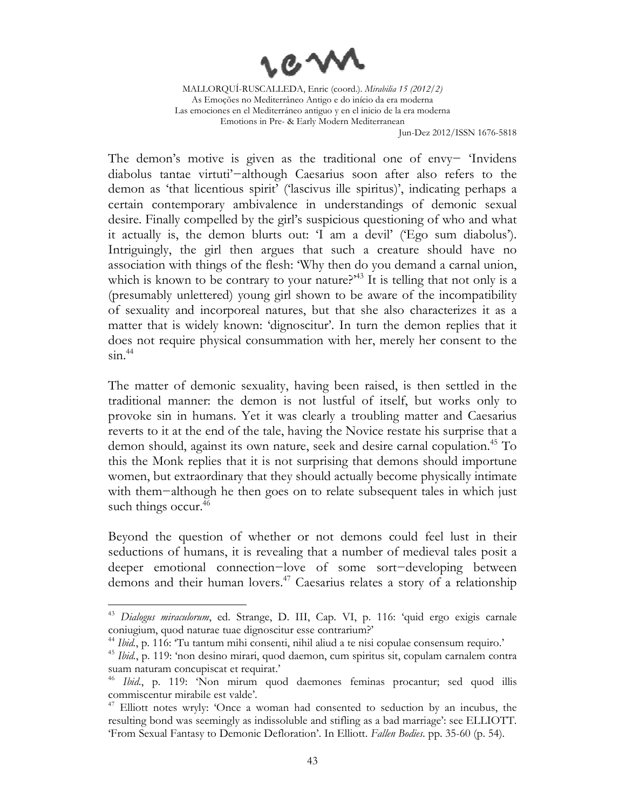

Jun-Dez 2012/ISSN 1676-5818

The demon's motive is given as the traditional one of envy− 'Invidens diabolus tantae virtuti'−although Caesarius soon after also refers to the demon as 'that licentious spirit' ('lascivus ille spiritus)', indicating perhaps a certain contemporary ambivalence in understandings of demonic sexual desire. Finally compelled by the girl's suspicious questioning of who and what it actually is, the demon blurts out: 'I am a devil' ('Ego sum diabolus'). Intriguingly, the girl then argues that such a creature should have no association with things of the flesh: 'Why then do you demand a carnal union, which is known to be contrary to your nature? $143$  It is telling that not only is a (presumably unlettered) young girl shown to be aware of the incompatibility of sexuality and incorporeal natures, but that she also characterizes it as a matter that is widely known: 'dignoscitur'. In turn the demon replies that it does not require physical consummation with her, merely her consent to the  $\sin^{44}$ 

The matter of demonic sexuality, having been raised, is then settled in the traditional manner: the demon is not lustful of itself, but works only to provoke sin in humans. Yet it was clearly a troubling matter and Caesarius reverts to it at the end of the tale, having the Novice restate his surprise that a demon should, against its own nature, seek and desire carnal copulation.<sup>45</sup> To this the Monk replies that it is not surprising that demons should importune women, but extraordinary that they should actually become physically intimate with them−although he then goes on to relate subsequent tales in which just such things occur.<sup>46</sup>

Beyond the question of whether or not demons could feel lust in their seductions of humans, it is revealing that a number of medieval tales posit a deeper emotional connection−love of some sort−developing between demons and their human lovers.<sup>47</sup> Caesarius relates a story of a relationship

<sup>43</sup> *Dialogus miraculorum*, ed. Strange, D. III, Cap. VI, p. 116: 'quid ergo exigis carnale coniugium, quod naturae tuae dignoscitur esse contrarium?'

<sup>&</sup>lt;sup>44</sup> *Ibid.*, p. 116: 'Tu tantum mihi consenti, nihil aliud a te nisi copulae consensum requiro.'

<sup>&</sup>lt;sup>45</sup> Ibid., p. 119: 'non desino mirari, quod daemon, cum spiritus sit, copulam carnalem contra suam naturam concupiscat et requirat.'

<sup>46</sup> *Ibid.*, p. 119: 'Non mirum quod daemones feminas procantur; sed quod illis commiscentur mirabile est valde'.

 $47$  Elliott notes wryly: 'Once a woman had consented to seduction by an incubus, the resulting bond was seemingly as indissoluble and stifling as a bad marriage': see ELLIOTT. 'From Sexual Fantasy to Demonic Defloration'. In Elliott. *Fallen Bodies*. pp. 35-60 (p. 54).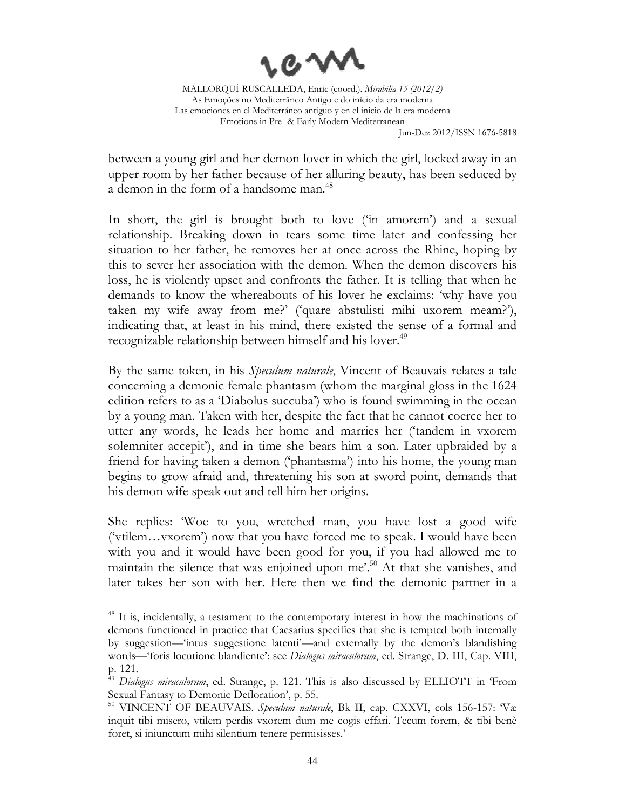

Jun-Dez 2012/ISSN 1676-5818

between a young girl and her demon lover in which the girl, locked away in an upper room by her father because of her alluring beauty, has been seduced by a demon in the form of a handsome man.<sup>48</sup>

In short, the girl is brought both to love ('in amorem') and a sexual relationship. Breaking down in tears some time later and confessing her situation to her father, he removes her at once across the Rhine, hoping by this to sever her association with the demon. When the demon discovers his loss, he is violently upset and confronts the father. It is telling that when he demands to know the whereabouts of his lover he exclaims: 'why have you taken my wife away from me?' ('quare abstulisti mihi uxorem meam?'), indicating that, at least in his mind, there existed the sense of a formal and recognizable relationship between himself and his lover.<sup>49</sup>

By the same token, in his *Speculum naturale*, Vincent of Beauvais relates a tale concerning a demonic female phantasm (whom the marginal gloss in the 1624 edition refers to as a 'Diabolus succuba') who is found swimming in the ocean by a young man. Taken with her, despite the fact that he cannot coerce her to utter any words, he leads her home and marries her ('tandem in vxorem solemniter accepit'), and in time she bears him a son. Later upbraided by a friend for having taken a demon ('phantasma') into his home, the young man begins to grow afraid and, threatening his son at sword point, demands that his demon wife speak out and tell him her origins.

She replies: 'Woe to you, wretched man, you have lost a good wife ('vtilem…vxorem') now that you have forced me to speak. I would have been with you and it would have been good for you, if you had allowed me to maintain the silence that was enjoined upon me'.<sup>50</sup> At that she vanishes, and later takes her son with her. Here then we find the demonic partner in a

<sup>&</sup>lt;sup>48</sup> It is, incidentally, a testament to the contemporary interest in how the machinations of demons functioned in practice that Caesarius specifies that she is tempted both internally by suggestion—'intus suggestione latenti'—and externally by the demon's blandishing words—'foris locutione blandiente': see *Dialogus miraculorum*, ed. Strange, D. III, Cap. VIII, p. 121.

<sup>&</sup>lt;sup>49</sup> *Dialogus miraculorum*, ed. Strange, p. 121. This is also discussed by ELLIOTT in 'From Sexual Fantasy to Demonic Defloration', p. 55.

<sup>50</sup> VINCENT OF BEAUVAIS. *Speculum naturale*, Bk II, cap. CXXVI, cols 156-157: 'Væ inquit tibi misero, vtilem perdis vxorem dum me cogis effari. Tecum forem, & tibi benè foret, si iniunctum mihi silentium tenere permisisses.'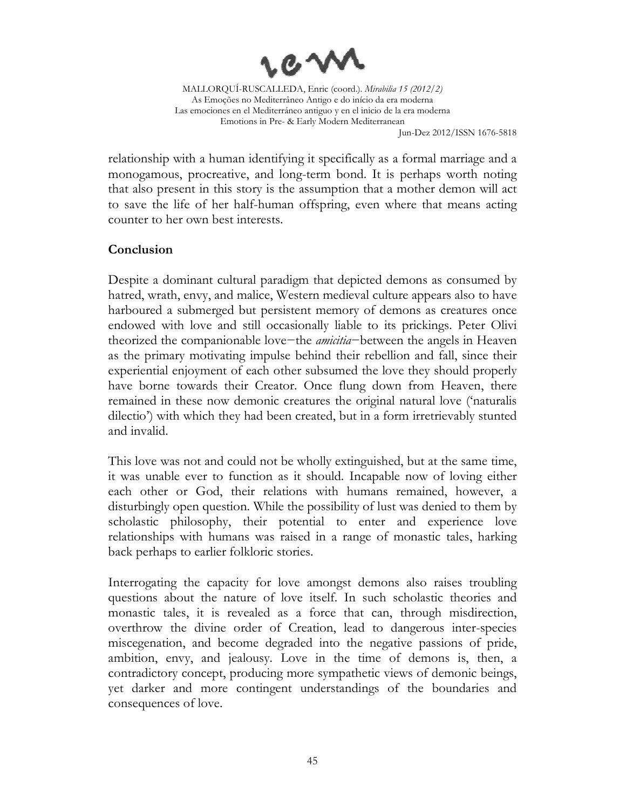

Jun-Dez 2012/ISSN 1676-5818

relationship with a human identifying it specifically as a formal marriage and a monogamous, procreative, and long-term bond. It is perhaps worth noting that also present in this story is the assumption that a mother demon will act to save the life of her half-human offspring, even where that means acting counter to her own best interests.

# **Conclusion**

Despite a dominant cultural paradigm that depicted demons as consumed by hatred, wrath, envy, and malice, Western medieval culture appears also to have harboured a submerged but persistent memory of demons as creatures once endowed with love and still occasionally liable to its prickings. Peter Olivi theorized the companionable love−the *amicitia*−between the angels in Heaven as the primary motivating impulse behind their rebellion and fall, since their experiential enjoyment of each other subsumed the love they should properly have borne towards their Creator. Once flung down from Heaven, there remained in these now demonic creatures the original natural love ('naturalis dilectio') with which they had been created, but in a form irretrievably stunted and invalid.

This love was not and could not be wholly extinguished, but at the same time, it was unable ever to function as it should. Incapable now of loving either each other or God, their relations with humans remained, however, a disturbingly open question. While the possibility of lust was denied to them by scholastic philosophy, their potential to enter and experience love relationships with humans was raised in a range of monastic tales, harking back perhaps to earlier folkloric stories.

Interrogating the capacity for love amongst demons also raises troubling questions about the nature of love itself. In such scholastic theories and monastic tales, it is revealed as a force that can, through misdirection, overthrow the divine order of Creation, lead to dangerous inter-species miscegenation, and become degraded into the negative passions of pride, ambition, envy, and jealousy. Love in the time of demons is, then, a contradictory concept, producing more sympathetic views of demonic beings, yet darker and more contingent understandings of the boundaries and consequences of love.